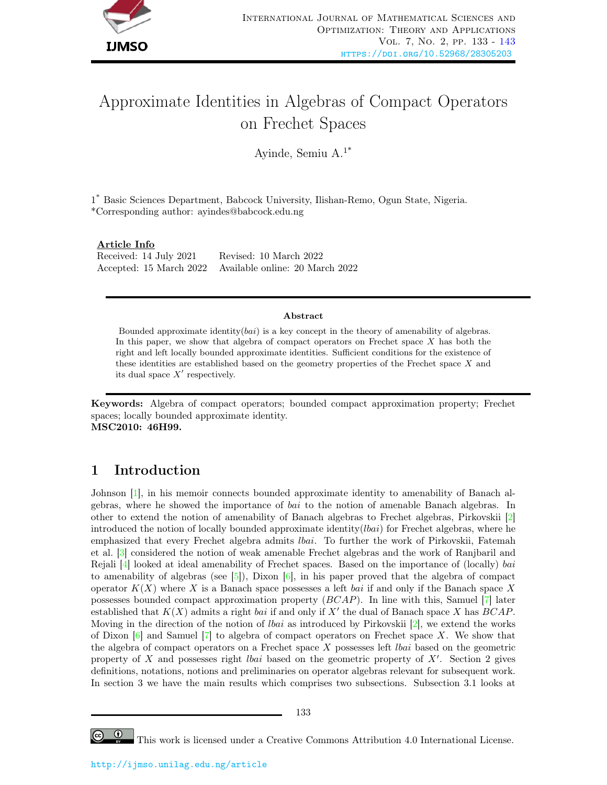

# Approximate Identities in Algebras of Compact Operators on Frechet Spaces

Ayinde, Semiu A.1\*

1 \* Basic Sciences Department, Babcock University, Ilishan-Remo, Ogun State, Nigeria. \*Corresponding author: ayindes@babcock.edu.ng

#### Article Info

Received: 14 July 2021 Revised: 10 March 2022 Accepted: 15 March 2022 Available online: 20 March 2022

#### Abstract

Bounded approximate identity $(bai)$  is a key concept in the theory of amenability of algebras. In this paper, we show that algebra of compact operators on Frechet space  $X$  has both the right and left locally bounded approximate identities. Sufficient conditions for the existence of these identities are established based on the geometry properties of the Frechet space X and its dual space  $X'$  respectively.

Keywords: Algebra of compact operators; bounded compact approximation property; Frechet spaces; locally bounded approximate identity. MSC2010: 46H99.

### 1 Introduction

Johnson [\[1\]](#page-10-1), in his memoir connects bounded approximate identity to amenability of Banach algebras, where he showed the importance of bai to the notion of amenable Banach algebras. In other to extend the notion of amenability of Banach algebras to Frechet algebras, Pirkovskii [\[2\]](#page-10-2) introduced the notion of locally bounded approximate identity( $lbai$ ) for Frechet algebras, where he emphasized that every Frechet algebra admits lbai. To further the work of Pirkovskii, Fatemah et al. [\[3\]](#page-10-3) considered the notion of weak amenable Frechet algebras and the work of Ranjbaril and Rejali  $[4]$  looked at ideal amenability of Frechet spaces. Based on the importance of (locally) bai to amenability of algebras (see  $[5]$ ), Dixon  $[6]$ , in his paper proved that the algebra of compact operator  $K(X)$  where X is a Banach space possesses a left bai if and only if the Banach space X possesses bounded compact approximation property (BCAP). In line with this, Samuel [\[7\]](#page-10-7) later established that  $K(X)$  admits a right bai if and only if  $X'$  the dual of Banach space X has  $BCAP$ . Moving in the direction of the notion of *lbai* as introduced by Pirkovskii  $[2]$ , we extend the works of Dixon  $[6]$  and Samuel  $[7]$  to algebra of compact operators on Frechet space X. We show that the algebra of compact operators on a Frechet space  $X$  possesses left *lbai* based on the geometric property of  $X$  and possesses right *lbai* based on the geometric property of  $X'$ . Section 2 gives definitions, notations, notions and preliminaries on operator algebras relevant for subsequent work. In section 3 we have the main results which comprises two subsections. Subsection 3.1 looks at

This work is licensed under a Creative Commons Attribution 4.0 International License.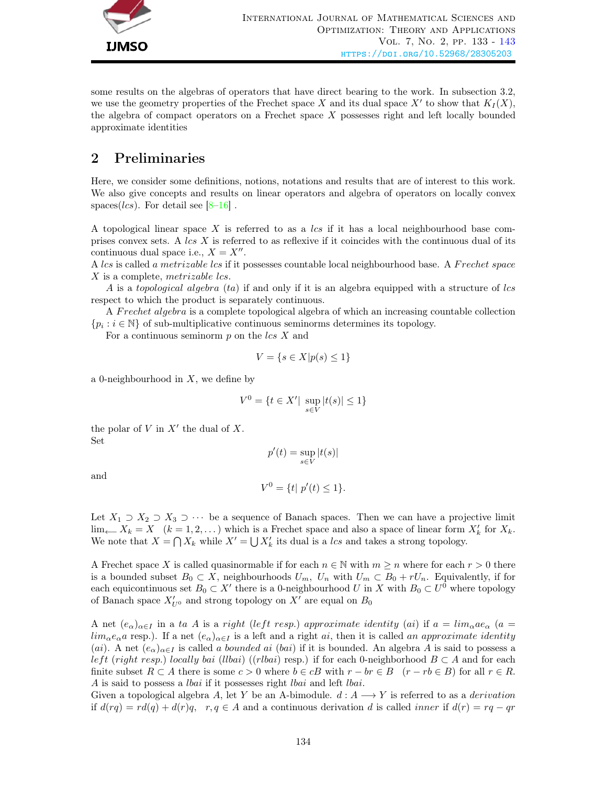

some results on the algebras of operators that have direct bearing to the work. In subsection 3.2, we use the geometry properties of the Frechet space X and its dual space  $X'$  to show that  $K_I(X)$ , the algebra of compact operators on a Frechet space X possesses right and left locally bounded approximate identities

# 2 Preliminaries

Here, we consider some definitions, notions, notations and results that are of interest to this work. We also give concepts and results on linear operators and algebra of operators on locally convex spaces( $lcs$ ). For detail see [8-[16\]](#page-10-9).

A topological linear space  $X$  is referred to as a lcs if it has a local neighbourhood base comprises convex sets. A  $\text{lcs } X$  is referred to as reflexive if it coincides with the continuous dual of its continuous dual space i.e.,  $X = X''$ .

A lcs is called a metrizable lcs if it possesses countable local neighbourhood base. A Frechet space X is a complete, metrizable lcs.

A is a topological algebra  $(ta)$  if and only if it is an algebra equipped with a structure of lcs respect to which the product is separately continuous.

A F rechet algebra is a complete topological algebra of which an increasing countable collection  ${p_i : i \in \mathbb{N}}$  of sub-multiplicative continuous seminorms determines its topology.

For a continuous seminorm  $p$  on the  $\text{lcs } X$  and

$$
V = \{ s \in X | p(s) \le 1 \}
$$

a 0-neighbourhood in  $X$ , we define by

$$
V^{0} = \{ t \in X' | \sup_{s \in V} |t(s)| \le 1 \}
$$

the polar of  $V$  in  $X'$  the dual of  $X$ . Set

$$
p'(t) = \sup_{s \in V} |t(s)|
$$

and

$$
V^0 = \{ t | p'(t) \le 1 \}.
$$

Let  $X_1 \supset X_2 \supset X_3 \supset \cdots$  be a sequence of Banach spaces. Then we can have a projective limit lim← $X_k = X$  ( $k = 1, 2, ...$ ) which is a Frechet space and also a space of linear form  $X'_k$  for  $X_k$ . We note that  $X = \bigcap X_k$  while  $X' = \bigcup X'_k$  its dual is a lcs and takes a strong topology.

A Frechet space X is called quasinormable if for each  $n \in \mathbb{N}$  with  $m \geq n$  where for each  $r > 0$  there is a bounded subset  $B_0 \subset X$ , neighbourhoods  $U_m$ ,  $U_n$  with  $U_m \subset B_0 + rU_n$ . Equivalently, if for each equicontinuous set  $B_0 \subset X'$  there is a 0-neighbourhood U in X with  $B_0 \subset U^0$  where topology of Banach space  $X'_{U^0}$  and strong topology on  $X'$  are equal on  $B_0$ 

A net  $(e_{\alpha})_{\alpha\in I}$  in a ta A is a right (left resp.) approximate identity (ai) if  $a = lim_{\alpha}ae_{\alpha}$  (a =  $\lim_{\alpha \in \alpha} e_{\alpha}$  resp.). If a net  $(e_{\alpha})_{\alpha \in I}$  is a left and a right ai, then it is called an approximate identity (ai). A net  $(e_{\alpha})_{\alpha\in I}$  is called a bounded ai (bai) if it is bounded. An algebra A is said to possess a left (right resp.) locally bai (llbai) ((rlbai) resp.) if for each 0-neighborhood  $B \subset A$  and for each finite subset  $R \subset A$  there is some  $c > 0$  where  $b \in cB$  with  $r - br \in B$   $(r - rb \in B)$  for all  $r \in R$ . A is said to possess a lbai if it possesses right lbai and left lbai.

Given a topological algebra A, let Y be an A-bimodule.  $d: A \longrightarrow Y$  is referred to as a *derivation* if  $d(rq) = rd(q) + d(r)q$ ,  $r, q \in A$  and a continuous derivation d is called *inner* if  $d(r) = rq - qr$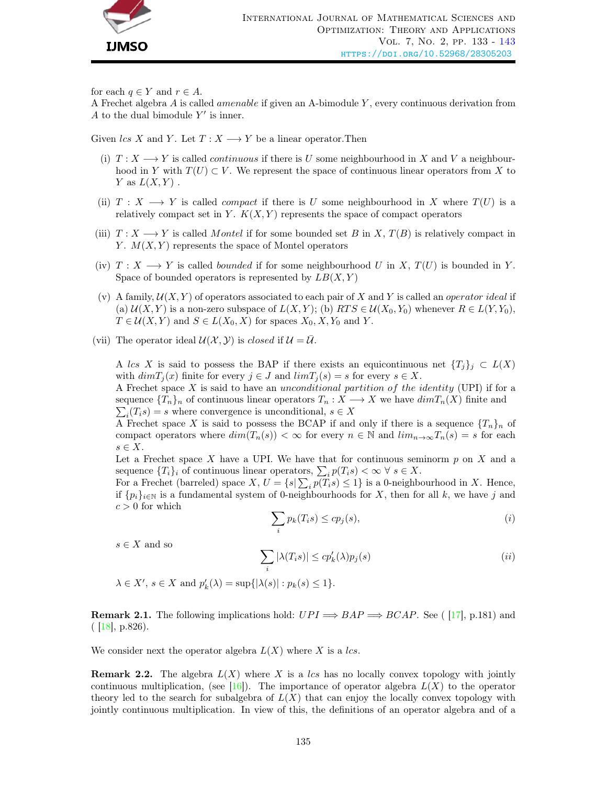

for each  $q \in Y$  and  $r \in A$ .

A Frechet algebra  $A$  is called *amenable* if given an A-bimodule  $Y$ , every continuous derivation from A to the dual bimodule  $Y'$  is inner.

Given lcs X and Y. Let  $T: X \longrightarrow Y$  be a linear operator. Then

- (i)  $T: X \longrightarrow Y$  is called *continuous* if there is U some neighbourhood in X and V a neighbourhood in Y with  $T(U) \subset V$ . We represent the space of continuous linear operators from X to Y as  $L(X, Y)$ .
- (ii)  $T : X \longrightarrow Y$  is called *compact* if there is U some neighbourhood in X where  $T(U)$  is a relatively compact set in Y.  $K(X, Y)$  represents the space of compact operators
- (iii)  $T : X \longrightarrow Y$  is called Montel if for some bounded set B in X,  $T(B)$  is relatively compact in Y.  $M(X, Y)$  represents the space of Montel operators
- (iv)  $T : X \longrightarrow Y$  is called *bounded* if for some neighbourhood U in X,  $T(U)$  is bounded in Y. Space of bounded operators is represented by  $LB(X, Y)$
- (v) A family,  $\mathcal{U}(X, Y)$  of operators associated to each pair of X and Y is called an *operator ideal* if (a)  $\mathcal{U}(X, Y)$  is a non-zero subspace of  $L(X, Y)$ ; (b)  $RTS \in \mathcal{U}(X_0, Y_0)$  whenever  $R \in L(Y, Y_0)$ ,  $T \in \mathcal{U}(X, Y)$  and  $S \in L(X_0, X)$  for spaces  $X_0, X, Y_0$  and Y.
- (vii) The operator ideal  $\mathcal{U}(\mathcal{X}, \mathcal{Y})$  is closed if  $\mathcal{U} = \overline{\mathcal{U}}$ .

A lcs X is said to possess the BAP if there exists an equicontinuous net  $\{T_j\}_j \subset L(X)$ with  $dimT_i(x)$  finite for every  $j \in J$  and  $limT_i(s) = s$  for every  $s \in X$ .

A Frechet space  $X$  is said to have an unconditional partition of the identity (UPI) if for a sequence  $\{T_n\}_n$  of continuous linear operators  $T_n: X \longrightarrow X$  we have  $dim T_n(X)$  finite and  $\sum_i (T_i s) = s$  where convergence is unconditional,  $s \in X$ 

A Frechet space X is said to possess the BCAP if and only if there is a sequence  $\{T_n\}_n$  of compact operators where  $dim(T_n(s)) < \infty$  for every  $n \in \mathbb{N}$  and  $lim_{n\to\infty}T_n(s) = s$  for each  $s \in X$ .

Let a Frechet space X have a UPI. We have that for continuous seminorm  $p$  on X and a sequence  ${T_i}_i$  of continuous linear operators,  $\sum_i p(T_i s) < \infty \ \forall \ s \in X$ .

For a Frechet (barreled) space  $X, U = \{s | \sum_i p(T_i s) \leq 1\}$  is a 0-neighbourhood in X. Hence, if  $\{p_i\}_{i\in\mathbb{N}}$  is a fundamental system of 0-neighbourhoods for X, then for all k, we have j and  $c > 0$  for which

$$
\sum_{i} p_k(T_i s) \le c p_j(s),\tag{i}
$$

 $s \in X$  and so

$$
\sum_{i} |\lambda(T_i s)| \le c p'_k(\lambda) p_j(s)
$$
 (ii)

 $\lambda \in X', s \in X$  and  $p'_k(\lambda) = \sup\{|\lambda(s)| : p_k(s) \leq 1\}.$ 

**Remark 2.1.** The following implications hold:  $UPI \implies BAP \implies BCAP$ . See ([\[17\]](#page-10-10), p.181) and  $( |18|, p.826).$ 

We consider next the operator algebra  $L(X)$  where X is a lcs.

**Remark 2.2.** The algebra  $L(X)$  where X is a lcs has no locally convex topology with jointly continuous multiplication, (see [\[16\]](#page-10-9)). The importance of operator algebra  $L(X)$  to the operator theory led to the search for subalgebra of  $L(X)$  that can enjoy the locally convex topology with jointly continuous multiplication. In view of this, the definitions of an operator algebra and of a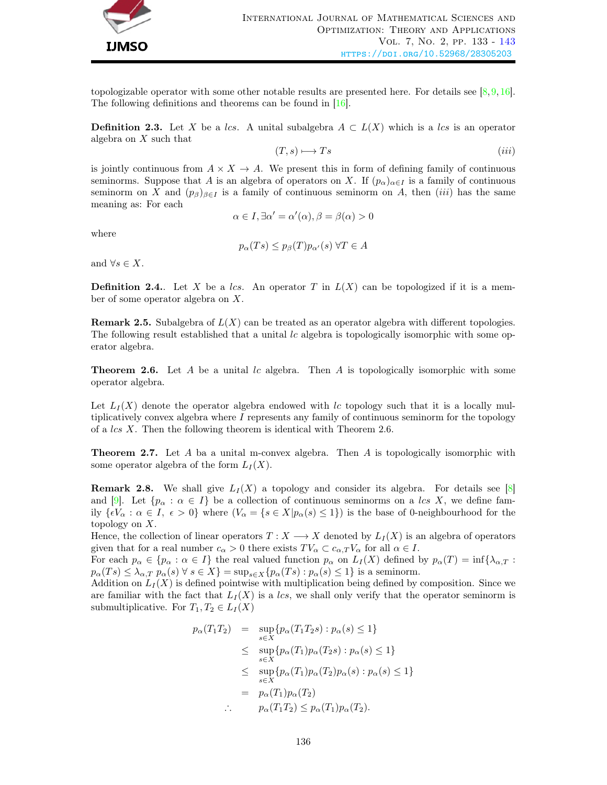

topologizable operator with some other notable results are presented here. For details see  $[8,9,16]$  $[8,9,16]$  $[8,9,16]$ . The following definitions and theorems can be found in  $[16]$ .

**Definition 2.3.** Let X be a lcs. A unital subalgebra  $A \subset L(X)$  which is a lcs is an operator algebra on X such that

$$
(T, s) \longmapsto Ts \tag{iii}
$$

is jointly continuous from  $A \times X \to A$ . We present this in form of defining family of continuous seminorms. Suppose that A is an algebra of operators on X. If  $(p_\alpha)_{\alpha \in I}$  is a family of continuous seminorm on X and  $(p_\beta)_{\beta \in I}$  is a family of continuous seminorm on A, then (iii) has the same meaning as: For each

$$
\alpha \in I, \exists \alpha' = \alpha'(\alpha), \beta = \beta(\alpha) > 0
$$

where

$$
p_{\alpha}(Ts) \leq p_{\beta}(T)p_{\alpha'}(s) \,\forall T \in A
$$

and  $\forall s \in X$ .

**Definition 2.4.**. Let X be a lcs. An operator T in  $L(X)$  can be topologized if it is a member of some operator algebra on X.

**Remark 2.5.** Subalgebra of  $L(X)$  can be treated as an operator algebra with different topologies. The following result established that a unital lc algebra is topologically isomorphic with some operator algebra.

**Theorem 2.6.** Let A be a unital lc algebra. Then A is topologically isomorphic with some operator algebra.

Let  $L_I(X)$  denote the operator algebra endowed with lc topology such that it is a locally multiplicatively convex algebra where I represents any family of continuous seminorm for the topology of a lcs X. Then the following theorem is identical with Theorem 2.6.

**Theorem 2.7.** Let A ba a unital m-convex algebra. Then A is topologically isomorphic with some operator algebra of the form  $L_I(X)$ .

**Remark 2.8.** We shall give  $L_I(X)$  a topology and consider its algebra. For details see [\[8\]](#page-10-8) and [\[9\]](#page-10-12). Let  $\{p_{\alpha} : \alpha \in I\}$  be a collection of continuous seminorms on a lcs X, we define family  $\{eV_\alpha : \alpha \in I, \ \epsilon > 0\}$  where  $(V_\alpha = \{s \in X | p_\alpha(s) \leq 1\})$  is the base of 0-neighbourhood for the topology on X.

Hence, the collection of linear operators  $T : X \longrightarrow X$  denoted by  $L_I(X)$  is an algebra of operators given that for a real number  $c_{\alpha} > 0$  there exists  $TV_{\alpha} \subset c_{\alpha,T} V_{\alpha}$  for all  $\alpha \in I$ .

For each  $p_{\alpha} \in \{p_{\alpha} : \alpha \in I\}$  the real valued function  $p_{\alpha}$  on  $L_I(X)$  defined by  $p_{\alpha}(T) = \inf\{\lambda_{\alpha,T} :$  $p_{\alpha}(Ts) \leq \lambda_{\alpha,T} p_{\alpha}(s) \ \forall \ s \in X$ } = sup<sub>s∈X</sub>{ $p_{\alpha}(Ts) : p_{\alpha}(s) \leq 1$ } is a seminorm.

Addition on  $L_I(X)$  is defined pointwise with multiplication being defined by composition. Since we are familiar with the fact that  $L<sub>I</sub>(X)$  is a lcs, we shall only verify that the operator seminorm is submultiplicative. For  $T_1, T_2 \in L_I(X)$ 

$$
p_{\alpha}(T_1T_2) = \sup_{s \in X} \{p_{\alpha}(T_1T_2s) : p_{\alpha}(s) \le 1\}
$$
  
\n
$$
\le \sup_{s \in X} \{p_{\alpha}(T_1)p_{\alpha}(T_2s) : p_{\alpha}(s) \le 1\}
$$
  
\n
$$
\le \sup_{s \in X} \{p_{\alpha}(T_1)p_{\alpha}(T_2)p_{\alpha}(s) : p_{\alpha}(s) \le 1\}
$$
  
\n
$$
= p_{\alpha}(T_1)p_{\alpha}(T_2)
$$
  
\n
$$
\therefore p_{\alpha}(T_1T_2) \le p_{\alpha}(T_1)p_{\alpha}(T_2).
$$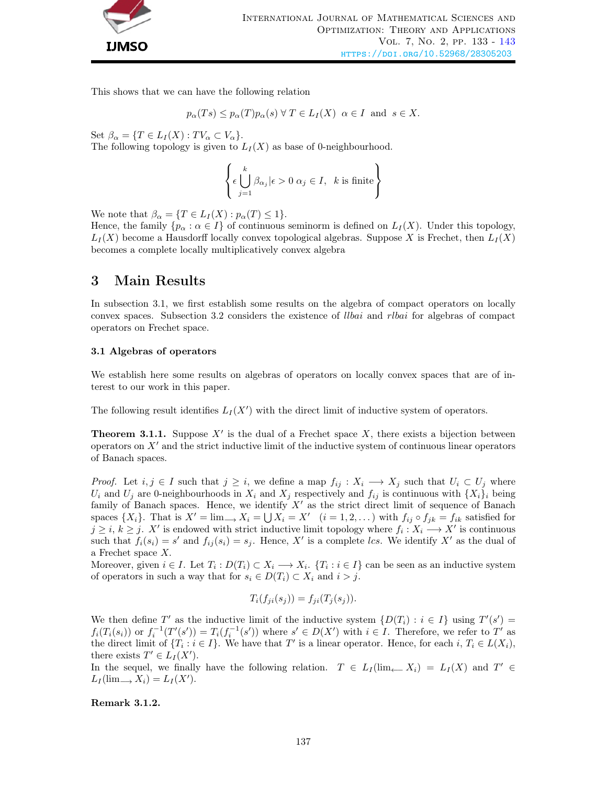

This shows that we can have the following relation

$$
p_{\alpha}(Ts) \leq p_{\alpha}(T)p_{\alpha}(s) \ \forall \ T \in L_I(X) \ \alpha \in I \text{ and } s \in X.
$$

Set  $\beta_{\alpha} = \{T \in L_I(X) : TV_{\alpha} \subset V_{\alpha}\}.$ The following topology is given to  $L_I(X)$  as base of 0-neighbourhood.

$$
\left\{ \epsilon \bigcup_{j=1}^{k} \beta_{\alpha_j} | \epsilon > 0 \; \alpha_j \in I, \; k \text{ is finite} \right\}
$$

We note that  $\beta_{\alpha} = \{T \in L_I(X) : p_{\alpha}(T) \leq 1\}.$ 

Hence, the family  $\{p_\alpha : \alpha \in I\}$  of continuous seminorm is defined on  $L_I(X)$ . Under this topology,  $L_I(X)$  become a Hausdorff locally convex topological algebras. Suppose X is Frechet, then  $L_I(X)$ becomes a complete locally multiplicatively convex algebra

### 3 Main Results

In subsection 3.1, we first establish some results on the algebra of compact operators on locally convex spaces. Subsection 3.2 considers the existence of llbai and rlbai for algebras of compact operators on Frechet space.

#### 3.1 Algebras of operators

We establish here some results on algebras of operators on locally convex spaces that are of interest to our work in this paper.

The following result identifies  $L_I(X')$  with the direct limit of inductive system of operators.

**Theorem 3.1.1.** Suppose  $X'$  is the dual of a Frechet space  $X$ , there exists a bijection between operators on  $X'$  and the strict inductive limit of the inductive system of continuous linear operators of Banach spaces.

*Proof.* Let  $i, j \in I$  such that  $j \geq i$ , we define a map  $f_{ij} : X_i \longrightarrow X_j$  such that  $U_i \subset U_j$  where  $U_i$  and  $U_j$  are 0-neighbourhoods in  $X_i$  and  $X_j$  respectively and  $f_{ij}$  is continuous with  $\{X_i\}_i$  being family of Banach spaces. Hence, we identify  $X'$  as the strict direct limit of sequence of Banach spaces  $\{X_i\}$ . That is  $X' = \lim_{i \to \infty} X_i = \bigcup X_i = X'$   $(i = 1, 2, ...)$  with  $f_{ij} \circ f_{jk} = f_{ik}$  satisfied for  $j \geq i, k \geq j$ . X' is endowed with strict inductive limit topology where  $f_i: X_i \longrightarrow X'$  is continuous such that  $f_i(s_i) = s'$  and  $f_{ij}(s_i) = s_j$ . Hence, X' is a complete lcs. We identify X' as the dual of a Frechet space X.

Moreover, given  $i \in I$ . Let  $T_i: D(T_i) \subset X_i \longrightarrow X_i$ .  $\{T_i : i \in I\}$  can be seen as an inductive system of operators in such a way that for  $s_i \in D(T_i) \subset X_i$  and  $i > j$ .

$$
T_i(f_{ji}(s_j)) = f_{ji}(T_j(s_j)).
$$

We then define T' as the inductive limit of the inductive system  $\{D(T_i) : i \in I\}$  using  $T'(s') =$  $f_i(T_i(s_i))$  or  $f_i^{-1}(T'(s')) = T_i(f_i^{-1}(s'))$  where  $s' \in D(X')$  with  $i \in I$ . Therefore, we refer to  $T'$  as the direct limit of  $\{T_i : i \in I\}$ . We have that T' is a linear operator. Hence, for each  $i, T_i \in L(X_i)$ , there exists  $T' \in L_I(X')$ .

In the sequel, we finally have the following relation.  $T \in L_I(\lim_{\leftarrow} X_i) = L_I(X)$  and  $T' \in$  $L_I(\lim_{\longrightarrow} X_i) = L_I(X').$ 

Remark 3.1.2.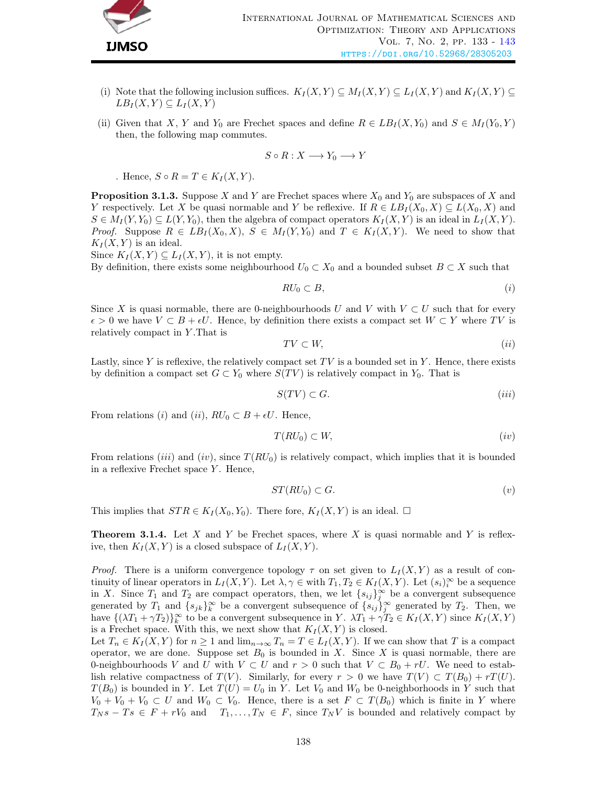

- (i) Note that the following inclusion suffices.  $K_I(X, Y) \subseteq M_I(X, Y) \subseteq L_I(X, Y)$  and  $K_I(X, Y) \subseteq$  $LB_I(X, Y) \subseteq L_I(X, Y)$
- (ii) Given that X, Y and Y<sub>0</sub> are Frechet spaces and define  $R \in LB_I(X, Y_0)$  and  $S \in M_I(Y_0, Y)$ then, the following map commutes.

$$
S \circ R : X \longrightarrow Y_0 \longrightarrow Y
$$

. Hence,  $S \circ R = T \in K_I(X, Y)$ .

**Proposition 3.1.3.** Suppose X and Y are Frechet spaces where  $X_0$  and  $Y_0$  are subspaces of X and Y respectively. Let X be quasi normable and Y be reflexive. If  $R \in LB_I(X_0, X) \subseteq L(X_0, X)$  and  $S \in M_I(Y, Y_0) \subseteq L(Y, Y_0)$ , then the algebra of compact operators  $K_I(X, Y)$  is an ideal in  $L_I(X, Y)$ . *Proof.* Suppose  $R \in LB_I(X_0, X)$ ,  $S \in M_I(Y, Y_0)$  and  $T \in K_I(X, Y)$ . We need to show that  $K_I(X, Y)$  is an ideal.

Since  $K_I(X, Y) \subseteq L_I(X, Y)$ , it is not empty.

By definition, there exists some neighbourhood  $U_0 \subset X_0$  and a bounded subset  $B \subset X$  such that

$$
RU_0 \subset B,\tag{i}
$$

Since X is quasi normable, there are 0-neighbourhoods U and V with  $V \subset U$  such that for every  $\epsilon > 0$  we have  $V \subset B + \epsilon U$ . Hence, by definition there exists a compact set  $W \subset Y$  where TV is relatively compact in Y .That is

$$
TV \subset W,\tag{ii}
$$

Lastly, since Y is reflexive, the relatively compact set  $TV$  is a bounded set in Y. Hence, there exists by definition a compact set  $G \subset Y_0$  where  $S(TV)$  is relatively compact in  $Y_0$ . That is

$$
S(TV) \subset G. \tag{iii}
$$

From relations (i) and (ii),  $RU_0 \subset B + \epsilon U$ . Hence,

$$
T(RU_0) \subset W,\tag{iv}
$$

From relations (*iii*) and (*iv*), since  $T(RU_0)$  is relatively compact, which implies that it is bounded in a reflexive Frechet space  $Y$ . Hence,

$$
ST(RU_0) \subset G. \tag{v}
$$

This implies that  $STR \in K_I(X_0, Y_0)$ . There fore,  $K_I(X, Y)$  is an ideal.  $\square$ 

**Theorem 3.1.4.** Let X and Y be Frechet spaces, where X is quasi normable and Y is reflexive, then  $K_I(X, Y)$  is a closed subspace of  $L_I(X, Y)$ .

*Proof.* There is a uniform convergence topology  $\tau$  on set given to  $L_I(X, Y)$  as a result of continuity of linear operators in  $L_I(X, Y)$ . Let  $\lambda, \gamma \in \text{with } T_1, T_2 \in K_I(X, Y)$ . Let  $(s_i)_{i=1}^{\infty}$  be a sequence in X. Since  $T_1$  and  $T_2$  are compact operators, then, we let  $\{s_{ij}\}_j^{\infty}$  be a convergent subsequence generated by  $T_1$  and  $\{s_{jk}\}_k^{\infty}$  be a convergent subsequence of  $\{s_{ij}\}_j^{\infty}$  generated by  $T_2$ . Then, we have  $\{(\lambda T_1 + \gamma T_2)\}_{k=0}^{\infty}$  to be a convergent subsequence in Y.  $\lambda T_1 + \gamma T_2 \in K_I(X, Y)$  since  $K_I(X, Y)$ is a Frechet space. With this, we next show that  $K_I(X, Y)$  is closed.

Let  $T_n \in K_I(X, Y)$  for  $n \geq 1$  and  $\lim_{n \to \infty} T_n = T \in L_I(X, Y)$ . If we can show that T is a compact operator, we are done. Suppose set  $B_0$  is bounded in X. Since X is quasi normable, there are 0-neighbourhoods V and U with  $V \subset U$  and  $r > 0$  such that  $V \subset B_0 + rU$ . We need to establish relative compactness of  $T(V)$ . Similarly, for every  $r > 0$  we have  $T(V) \subset T(B_0) + rT(U)$ .  $T(B_0)$  is bounded in Y. Let  $T(U) = U_0$  in Y. Let  $V_0$  and  $W_0$  be 0-neighborhoods in Y such that  $V_0 + V_0 + V_0 \subset U$  and  $W_0 \subset V_0$ . Hence, there is a set  $F \subset T(B_0)$  which is finite in Y where  $T_N s - Ts \in F + rV_0$  and  $T_1, \ldots, T_N \in F$ , since  $T_N V$  is bounded and relatively compact by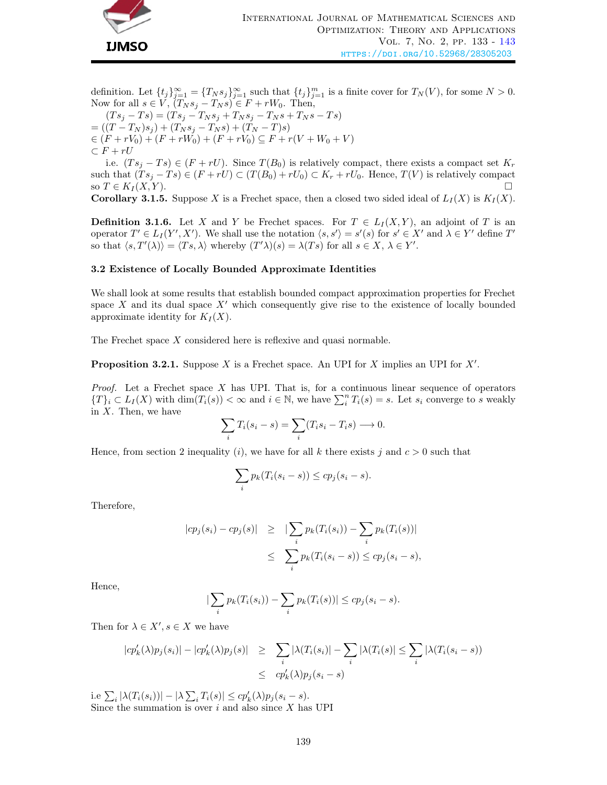

definition. Let  $\{t_j\}_{j=1}^{\infty} = \{T_N s_j\}_{j=1}^{\infty}$  such that  $\{t_j\}_{j=1}^m$  is a finite cover for  $T_N(V)$ , for some  $N > 0$ . Now for all  $s \in V$ ,  $(T_N s_j - T_N s) \in F + rW_0$ . Then,

 $(Ts_j - Ts) = (Ts_j - T_Ns_j + T_Ns_j - T_Ns + T_Ns - Ts)$  $= ((T - T_N)s_i) + (T_N s_i - T_N s) + (T_N - T)s)$  $\in (F + rV_0) + (F + rW_0) + (F + rV_0) \subseteq F + r(V + W_0 + V)$  $\subset F + rU$ 

i.e.  $(Ts_i - Ts) \in (F + rU)$ . Since  $T(B_0)$  is relatively compact, there exists a compact set  $K_r$ such that  $(Ts_j - Ts) \in (F + rU) \subset (T(B_0) + rU_0) \subset K_r + rU_0$ . Hence,  $T(V)$  is relatively compact so  $T \in K_I(X, Y)$ . **Corollary 3.1.5.** Suppose X is a Frechet space, then a closed two sided ideal of  $L_I(X)$  is  $K_I(X)$ .

**Definition 3.1.6.** Let X and Y be Frechet spaces. For  $T \in L_I(X, Y)$ , an adjoint of T is an operator  $T' \in L_I(Y', X')$ . We shall use the notation  $\langle s, s' \rangle = s'(s)$  for  $s' \in X'$  and  $\lambda \in Y'$  define  $T'$ so that  $\langle s, T'(\lambda) \rangle = \langle Ts, \lambda \rangle$  whereby  $(T' \lambda)(s) = \lambda(Ts)$  for all  $s \in X, \lambda \in Y'$ .

#### 3.2 Existence of Locally Bounded Approximate Identities

We shall look at some results that establish bounded compact approximation properties for Frechet space X and its dual space  $X'$  which consequently give rise to the existence of locally bounded approximate identity for  $K_I(X)$ .

The Frechet space X considered here is reflexive and quasi normable.

**Proposition 3.2.1.** Suppose  $X$  is a Frechet space. An UPI for  $X$  implies an UPI for  $X'$ .

*Proof.* Let a Frechet space  $X$  has UPI. That is, for a continuous linear sequence of operators  $\{T\}_i \subset L_I(X)$  with  $\dim(T_i(s)) < \infty$  and  $i \in \mathbb{N}$ , we have  $\sum_i^n T_i(s) = s$ . Let  $s_i$  converge to s weakly in  $X$ . Then, we have

$$
\sum_i T_i(s_i - s) = \sum_i (T_i s_i - T_i s) \longrightarrow 0.
$$

Hence, from section 2 inequality (*i*), we have for all k there exists j and  $c > 0$  such that

$$
\sum_{i} p_k(T_i(s_i - s)) \leq c p_j(s_i - s).
$$

Therefore,

$$
|cp_j(s_i) - cp_j(s)| \geq |\sum_i p_k(T_i(s_i)) - \sum_i p_k(T_i(s))|
$$
  

$$
\leq \sum_i p_k(T_i(s_i - s)) \leq cp_j(s_i - s),
$$

Hence,

$$
\left|\sum_{i} p_k(T_i(s_i)) - \sum_{i} p_k(T_i(s))\right| \leq c p_j(s_i - s).
$$

Then for  $\lambda \in X', s \in X$  we have

$$
|cp'_{k}(\lambda)p_{j}(s_{i})| - |cp'_{k}(\lambda)p_{j}(s)| \geq \sum_{i} |\lambda(T_{i}(s_{i})| - \sum_{i} |\lambda(T_{i}(s)| \leq \sum_{i} |\lambda(T_{i}(s_{i} - s))|
$$
  

$$
\leq cp'_{k}(\lambda)p_{j}(s_{i} - s)
$$

i.e  $\sum_i |\lambda(T_i(s_i))| - |\lambda \sum_i T_i(s)| \le c p'_k(\lambda) p_j(s_i - s).$ Since the summation is over  $i$  and also since  $X$  has UPI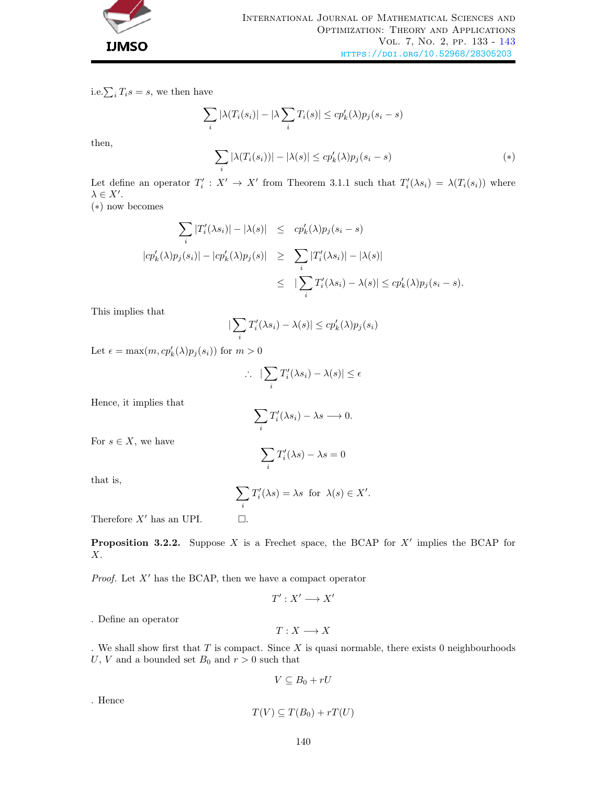

i.e.  $\sum_i T_i s = s$ , we then have

$$
\sum_{i} |\lambda(T_i(s_i)| - |\lambda \sum_{i} T_i(s)| \le c p'_k(\lambda) p_j(s_i - s)
$$

then,

$$
\sum_{i} |\lambda(T_i(s_i))| - |\lambda(s)| \leq c p'_k(\lambda) p_j(s_i - s)
$$
\n<sup>(\*)</sup>

Let define an operator  $T'_i : X' \to X'$  from Theorem 3.1.1 such that  $T'_i(\lambda s_i) = \lambda(T_i(s_i))$  where  $\lambda \in X'.$ 

(∗) now becomes

$$
\sum_{i} |T'_{i}(\lambda s_{i})| - |\lambda(s)| \leq cp'_{k}(\lambda)p_{j}(s_{i} - s)
$$
  
\n
$$
|cp'_{k}(\lambda)p_{j}(s_{i})| - |cp'_{k}(\lambda)p_{j}(s)| \geq \sum_{i} |T'_{i}(\lambda s_{i})| - |\lambda(s)|
$$
  
\n
$$
\leq |\sum_{i} T'_{i}(\lambda s_{i}) - \lambda(s)| \leq cp'_{k}(\lambda)p_{j}(s_{i} - s).
$$

This implies that

$$
|\sum_i T'_i(\lambda s_i) - \lambda(s)| \le c p'_k(\lambda) p_j(s_i)
$$

Let  $\epsilon = \max(m, cp'_k(\lambda)p_j(s_i))$  for  $m > 0$ 

$$
\therefore \quad |\sum_i T'_i(\lambda s_i) - \lambda(s)| \le \epsilon
$$

Hence, it implies that

$$
\sum_i T'_i(\lambda s_i) - \lambda s \longrightarrow 0.
$$

 $T_i'(\lambda s) - \lambda s = 0$ 

 $\sum$ i

For  $s \in X$ , we have

that is, 
$$
\frac{1}{2}
$$

$$
\sum_i T'_i(\lambda s) = \lambda s \text{ for } \lambda(s) \in X'.
$$

Therefore  $X'$  has an UPI.  $\Box$ .

**Proposition 3.2.2.** Suppose X is a Frechet space, the BCAP for  $X'$  implies the BCAP for X.

*Proof.* Let  $X'$  has the BCAP, then we have a compact operator

$$
T':X'\longrightarrow X'
$$

. Define an operator

$$
T:X\longrightarrow X
$$

. We shall show first that  $T$  is compact. Since  $X$  is quasi normable, there exists 0 neighbourhoods U, V and a bounded set  $B_0$  and  $r > 0$  such that

$$
V \subseteq B_0 + rU
$$

. Hence

$$
T(V) \subseteq T(B_0) + rT(U)
$$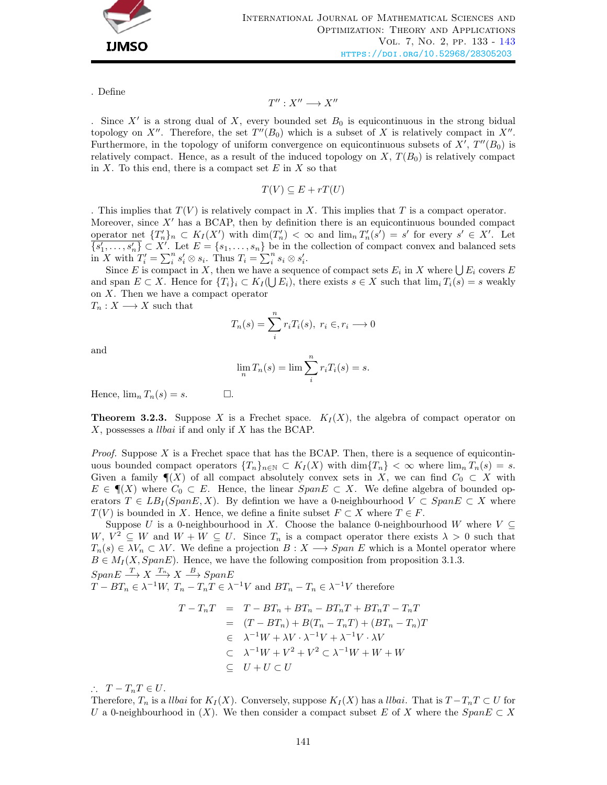

. Define

$$
T'' : X'' \longrightarrow X''
$$

. Since  $X'$  is a strong dual of X, every bounded set  $B_0$  is equicontinuous in the strong bidual topology on X''. Therefore, the set  $T''(B_0)$  which is a subset of X is relatively compact in X''. Furthermore, in the topology of uniform convergence on equicontinuous subsets of  $X'$ ,  $T''(B_0)$  is relatively compact. Hence, as a result of the induced topology on  $X, T(B_0)$  is relatively compact in  $X$ . To this end, there is a compact set  $E$  in  $X$  so that

$$
T(V) \subseteq E + rT(U)
$$

. This implies that  $T(V)$  is relatively compact in X. This implies that T is a compact operator. Moreover, since  $X'$  has a BCAP, then by definition there is an equicontinuous bounded compact operator net  $\{T_n'\}_n \subset K_I(X')$  with  $\dim(T_n') < \infty$  and  $\lim_n T_n'(s') = s'$  for every  $s' \in X'$ . Let  $\overline{\{s'_1,\ldots,s'_n\}}\subset X'$ . Let  $E=\{s_1,\ldots,s_n\}$  be in the collection of compact convex and balanced sets in X with  $T'_i = \sum_i^n s'_i \otimes s_i$ . Thus  $T_i = \sum_i^n s_i \otimes s'_i$ .

Since E is compact in X, then we have a sequence of compact sets  $E_i$  in X where  $\bigcup E_i$  covers E and span  $E \subset X$ . Hence for  $\{T_i\}_i \subset K_I(\bigcup E_i)$ , there exists  $s \in X$  such that  $\lim_i T_i(s) = s$  weakly on  $X$ . Then we have a compact operator  $T_n: X \longrightarrow X$  such that

 $T_n(s) = \sum_{n=1}^n$ i  $r_iT_i(s), r_i \in, r_i \longrightarrow 0$ 

and

$$
\lim_{n} T_n(s) = \lim_{n} \sum_{i=1}^{n} r_i T_i(s) = s.
$$

Hence,  $\lim_{n} T_n(s) = s.$   $\Box$ .

**Theorem 3.2.3.** Suppose X is a Frechet space.  $K_I(X)$ , the algebra of compact operator on X, possesses a llbai if and only if X has the BCAP.

*Proof.* Suppose X is a Frechet space that has the BCAP. Then, there is a sequence of equicontinuous bounded compact operators  ${T_n}_{n \in \mathbb{N}} \subset K_I(X)$  with  $\dim{T_n} < \infty$  where  $\lim_{n} T_n(s) = s$ . Given a family  $\P(X)$  of all compact absolutely convex sets in X, we can find  $C_0 \subset X$  with  $E \in \P(X)$  where  $C_0 \subset E$ . Hence, the linear  $Span E \subset X$ . We define algebra of bounded operators  $T \in LB_I(SpanE, X)$ . By defintion we have a 0-neighbourhood  $V \subset Span E \subset X$  where  $T(V)$  is bounded in X. Hence, we define a finite subset  $F \subset X$  where  $T \in F$ .

Suppose U is a 0-neighbourhood in X. Choose the balance 0-neighbourhood W where  $V \subseteq$ W,  $V^2 \subseteq W$  and  $W + W \subseteq U$ . Since  $T_n$  is a compact operator there exists  $\lambda > 0$  such that  $T_n(s) \in \lambda V_n \subset \lambda V$ . We define a projection  $B: X \longrightarrow Span E$  which is a Montel operator where  $B \in M_I(X, SpanE)$ . Hence, we have the following composition from proposition 3.1.3.  $SpanE \stackrel{T}{\longrightarrow} X \stackrel{T_n}{\longrightarrow} X \stackrel{B}{\longrightarrow} SpanE$ 

 $T - BT_n \in \lambda^{-1}W$ ,  $T_n - T_nT \in \lambda^{-1}V$  and  $BT_n - T_n \in \lambda^{-1}V$  therefore

$$
T - T_nT = T - BT_n + BT_n - BT_nT + BT_nT - T_nT
$$
  
= 
$$
(T - BT_n) + B(T_n - T_nT) + (BT_n - T_n)T
$$
  

$$
\in \lambda^{-1}W + \lambda V \cdot \lambda^{-1}V + \lambda^{-1}V \cdot \lambda V
$$
  

$$
\subset \lambda^{-1}W + V^2 + V^2 \subset \lambda^{-1}W + W + W
$$
  

$$
\subseteq U + U \subset U
$$

 $\therefore$   $T - T_nT \in U$ .

Therefore,  $T_n$  is a *llbai* for  $K_I(X)$ . Conversely, suppose  $K_I(X)$  has a *llbai*. That is  $T - T_nT \subset U$  for U a 0-neighbourhood in  $(X)$ . We then consider a compact subset E of X where the  $SpanE \subset X$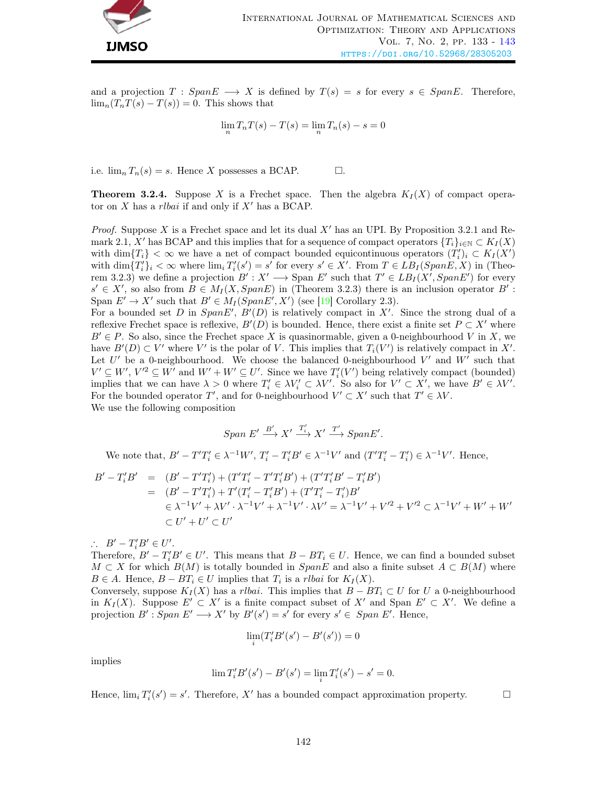

and a projection  $T : SpanE \longrightarrow X$  is defined by  $T(s) = s$  for every  $s \in SpanE$ . Therefore,  $\lim_{n}(T_nT(s) - T(s)) = 0$ . This shows that

$$
\lim_{n} T_n T(s) - T(s) = \lim_{n} T_n(s) - s = 0
$$

i.e.  $\lim_{n} T_n(s) = s$ . Hence X possesses a BCAP.  $\Box$ .

**Theorem 3.2.4.** Suppose X is a Frechet space. Then the algebra  $K_I(X)$  of compact operator on  $X$  has a *rlbai* if and only if  $X'$  has a BCAP.

*Proof.* Suppose X is a Frechet space and let its dual  $X'$  has an UPI. By Proposition 3.2.1 and Remark 2.1, X' has BCAP and this implies that for a sequence of compact operators  ${T_i}_{i\in\mathbb{N}}\subset K_I(X)$ with  $\dim\{T_i\} < \infty$  we have a net of compact bounded equicontinuous operators  $(T'_i)_i \subset K_I(X')$ with  $\dim\{T_i'\}_i < \infty$  where  $\lim_i T_i'(s') = s'$  for every  $s' \in X'$ . From  $T \in LB_I(SpanE, X)$  in (Theorem 3.2.3) we define a projection  $B': X' \longrightarrow \text{Span } E'$  such that  $T' \in LB_I(X', SpanE')$  for every  $s' \in X'$ , so also from  $B \in M_I(X, SpanE)$  in (Theorem 3.2.3) there is an inclusion operator  $B'$ : Span  $E' \to X'$  such that  $B' \in M_I(SpanE', X')$  (see [\[19\]](#page-10-13) Corollary 2.3).

For a bounded set D in  $Span E', B'(D)$  is relatively compact in X'. Since the strong dual of a reflexive Frechet space is reflexive,  $B'(D)$  is bounded. Hence, there exist a finite set  $P \subset X'$  where  $B' \in P$ . So also, since the Frechet space X is quasinormable, given a 0-neighbourhood V in X, we have  $B'(D) \subset V'$  where V' is the polar of V. This implies that  $T_i(V')$  is relatively compact in X'. Let  $U'$  be a 0-neighbourhood. We choose the balanced 0-neighbourhood  $V'$  and  $W'$  such that  $V' \subseteq W'$ ,  $V'^2 \subseteq W'$  and  $W' + W' \subseteq U'$ . Since we have  $T'_{i}(V')$  being relatively compact (bounded) implies that we can have  $\lambda > 0$  where  $T_i' \in \lambda V_i' \subset \lambda V'$ . So also for  $V' \subset X'$ , we have  $B' \in \lambda V'$ . For the bounded operator T', and for 0-neighbourhood  $V' \subset X'$  such that  $T' \in \lambda V$ . We use the following composition

$$
Span E' \xrightarrow{B'} X' \xrightarrow{T_i'} X' \xrightarrow{T'} Span E'.
$$

We note that,  $B' - T'T'_i \in \lambda^{-1}W'$ ,  $T'_i - T'_iB' \in \lambda^{-1}V'$  and  $(T'T'_i - T'_i) \in \lambda^{-1}V'$ . Hence,

$$
B' - T'_i B' = (B' - T'T'_i) + (T'T'_i - T'T'_i B') + (T'T'_i B' - T'_i B')
$$
  
= 
$$
(B' - T'T'_i) + T'(T'_i - T'_i B') + (T'T'_i - T'_i)B'
$$
  

$$
\in \lambda^{-1}V' + \lambda V' \cdot \lambda^{-1}V' + \lambda^{-1}V' \cdot \lambda V' = \lambda^{-1}V' + V'^2 + V'^2 \subset \lambda^{-1}V' + W' + W'
$$
  

$$
\subset U' + U' \subset U'
$$

 $\therefore$  B' - T'<sub>i</sub>B'  $\in U'.$ 

Therefore,  $B' - T_i'B' \in U'$ . This means that  $B - BT_i \in U$ . Hence, we can find a bounded subset  $M \subset X$  for which  $B(M)$  is totally bounded in  $SpanE$  and also a finite subset  $A \subset B(M)$  where  $B \in A$ . Hence,  $B - BT_i \in U$  implies that  $T_i$  is a *rlbai* for  $K_I(X)$ .

Conversely, suppose  $K_I(X)$  has a *rlbai*. This implies that  $B - BT_i \subset U$  for U a 0-neighbourhood in  $K_I(X)$ . Suppose  $E' \subset X'$  is a finite compact subset of  $X'$  and Span  $E' \subset X'$ . We define a projection  $B'$ : Span  $E' \longrightarrow X'$  by  $B'(s') = s'$  for every  $s' \in Span E'$ . Hence,

$$
\lim_i (T_i'B'(s')-B'(s'))=0
$$

implies

$$
\lim T_i'B'(s') - B'(s') = \lim_i T_i'(s') - s' = 0.
$$

Hence,  $\lim_i T'_i(s') = s'$ . Therefore, X' has a bounded compact approximation property.